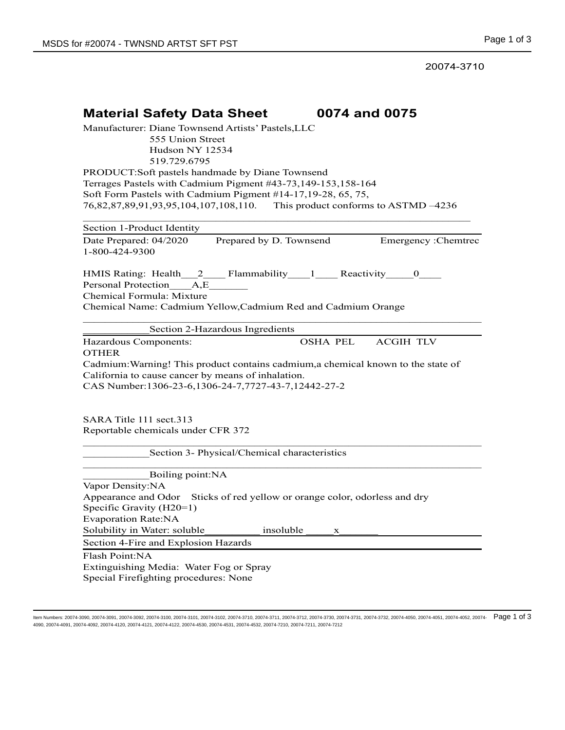20074-3710

| 0074 and 0075<br><b>Material Safety Data Sheet</b>                                                                                          |
|---------------------------------------------------------------------------------------------------------------------------------------------|
| Manufacturer: Diane Townsend Artists' Pastels, LLC                                                                                          |
| 555 Union Street<br>Hudson NY 12534                                                                                                         |
| 519.729.6795                                                                                                                                |
| PRODUCT:Soft pastels handmade by Diane Townsend                                                                                             |
| Terrages Pastels with Cadmium Pigment #43-73,149-153,158-164                                                                                |
| Soft Form Pastels with Cadmium Pigment #14-17, 19-28, 65, 75,<br>76,82,87,89,91,93,95,104,107,108,110. This product conforms to ASTMD -4236 |
|                                                                                                                                             |
| Section 1-Product Identity                                                                                                                  |
| Date Prepared: 04/2020<br>Prepared by D. Townsend<br>Emergency : Chemtrec                                                                   |
| 1-800-424-9300                                                                                                                              |
|                                                                                                                                             |
| HMIS Rating: Health_2___Flammability___1___Reactivity___0___<br>Personal Protection A,E                                                     |
| Chemical Formula: Mixture                                                                                                                   |
| Chemical Name: Cadmium Yellow, Cadmium Red and Cadmium Orange                                                                               |
|                                                                                                                                             |
| Section 2-Hazardous Ingredients                                                                                                             |
| <b>OSHA PEL</b><br><b>ACGIH TLV</b><br>Hazardous Components:                                                                                |
| <b>OTHER</b><br>Cadmium: Warning! This product contains cadmium, a chemical known to the state of                                           |
| California to cause cancer by means of inhalation.                                                                                          |
| CAS Number:1306-23-6,1306-24-7,7727-43-7,12442-27-2                                                                                         |
|                                                                                                                                             |
|                                                                                                                                             |
| SARA Title 111 sect.313<br>Reportable chemicals under CFR 372                                                                               |
|                                                                                                                                             |
| Section 3- Physical/Chemical characteristics                                                                                                |
|                                                                                                                                             |
| Boiling point: NA<br>Vapor Density:NA                                                                                                       |
| Appearance and Odor Sticks of red yellow or orange color, odorless and dry                                                                  |
| Specific Gravity (H20=1)                                                                                                                    |
| <b>Evaporation Rate:NA</b>                                                                                                                  |
| Solubility in Water: soluble<br>insoluble<br>x                                                                                              |
| Section 4-Fire and Explosion Hazards                                                                                                        |
| Flash Point:NA                                                                                                                              |
| Extinguishing Media: Water Fog or Spray                                                                                                     |
| Special Firefighting procedures: None                                                                                                       |
|                                                                                                                                             |

ltem Numbers: 20074-3090, 20074-3091, 20074-3092, 20074-3100, 20074-3101, 20074-3702, 20074-3711, 20074-3731, 20074-3730, 20074-3731, 20074-3731, 20074-3732, 20074-3732, 20074-4050, 20074-4051, 20074-4052, 20074-4052, 2007 4090, 20074-4091, 20074-4092, 20074-4120, 20074-4121, 20074-4122, 20074-4530, 20074-4531, 20074-4532, 20074-7210, 20074-7211, 20074-7212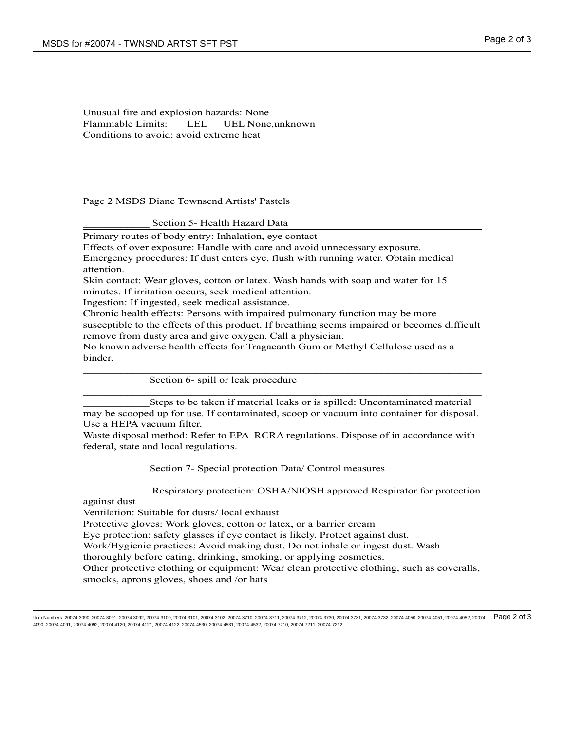Unusual fire and explosion hazards: None Flammable Limits: LEL UEL None,unknown Conditions to avoid: avoid extreme heat

Page 2 MSDS Diane Townsend Artists' Pastels

| Section 5- Health Hazard Data |
|-------------------------------|
|-------------------------------|

Primary routes of body entry: Inhalation, eye contact

Effects of over exposure: Handle with care and avoid unnecessary exposure.

Emergency procedures: If dust enters eye, flush with running water. Obtain medical attention.

Skin contact: Wear gloves, cotton or latex. Wash hands with soap and water for 15 minutes. If irritation occurs, seek medical attention.

Ingestion: If ingested, seek medical assistance.

Chronic health effects: Persons with impaired pulmonary function may be more susceptible to the effects of this product. If breathing seems impaired or becomes difficult remove from dusty area and give oxygen. Call a physician.

\_\_\_\_\_\_\_\_\_\_\_\_\_\_\_\_\_\_\_\_\_\_\_\_\_\_\_\_\_\_\_\_\_\_\_\_\_\_\_\_\_\_\_\_\_\_\_\_\_\_\_\_\_\_\_\_\_\_\_\_\_\_\_\_\_\_\_\_\_\_\_\_

\_\_\_\_\_\_\_\_\_\_\_\_\_\_\_\_\_\_\_\_\_\_\_\_\_\_\_\_\_\_\_\_\_\_\_\_\_\_\_\_\_\_\_\_\_\_\_\_\_\_\_\_\_\_\_\_\_\_\_\_\_\_\_\_\_\_\_\_\_\_\_\_

 $\mathcal{L}_\text{max}$  , and the contribution of the contribution of the contribution of the contribution of the contribution of the contribution of the contribution of the contribution of the contribution of the contribution of t

No known adverse health effects for Tragacanth Gum or Methyl Cellulose used as a binder.

Section 6- spill or leak procedure

Steps to be taken if material leaks or is spilled: Uncontaminated material may be scooped up for use. If contaminated, scoop or vacuum into container for disposal. Use a HEPA vacuum filter.

Waste disposal method: Refer to EPA RCRA regulations. Dispose of in accordance with federal, state and local regulations. \_\_\_\_\_\_\_\_\_\_\_\_\_\_\_\_\_\_\_\_\_\_\_\_\_\_\_\_\_\_\_\_\_\_\_\_\_\_\_\_\_\_\_\_\_\_\_\_\_\_\_\_\_\_\_\_\_\_\_\_\_\_\_\_\_\_\_\_\_\_\_\_

\_\_\_\_\_\_\_\_\_\_\_\_\_\_\_\_\_\_\_\_\_\_\_\_\_\_\_\_\_\_\_\_\_\_\_\_\_\_\_\_\_\_\_\_\_\_\_\_\_\_\_\_\_\_\_\_\_\_\_\_\_\_\_\_\_\_\_\_\_\_\_\_

Section 7- Special protection Data/ Control measures

Respiratory protection: OSHA/NIOSH approved Respirator for protection

against dust

Ventilation: Suitable for dusts/ local exhaust

Protective gloves: Work gloves, cotton or latex, or a barrier cream

Eye protection: safety glasses if eye contact is likely. Protect against dust.

Work/Hygienic practices: Avoid making dust. Do not inhale or ingest dust. Wash

thoroughly before eating, drinking, smoking, or applying cosmetics.

Other protective clothing or equipment: Wear clean protective clothing, such as coveralls, smocks, aprons gloves, shoes and /or hats

Item Numbers: 20074-3090, 20074-3091, 20074-3092, 20074-3100, 20074-3101, 20074-3102, 20074-3710, 20074-3711, 20074-3712, 20074-3730, 20074-3731, 20074-3732, 20074-4050, 20074-4051, 20074-4052, 20074- Page 2 of 34090, 20074-4091, 20074-4092, 20074-4120, 20074-4121, 20074-4122, 20074-4530, 20074-4531, 20074-4532, 20074-7210, 20074-7211, 20074-7212